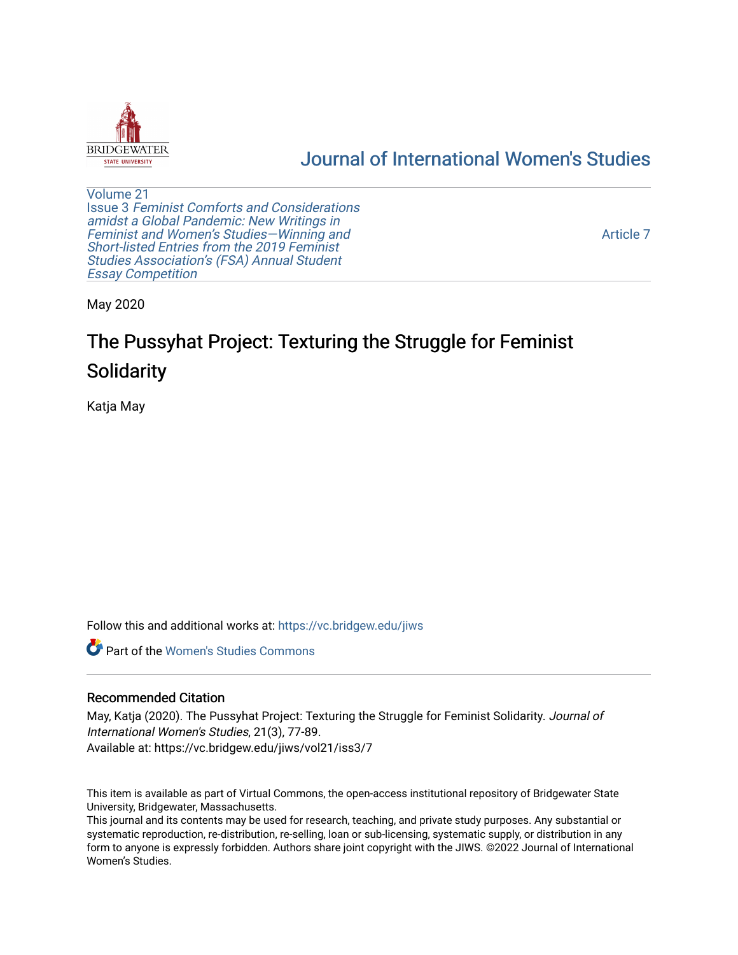

## [Journal of International Women's Studies](https://vc.bridgew.edu/jiws)

[Volume 21](https://vc.bridgew.edu/jiws/vol21) Issue 3 [Feminist Comforts and Considerations](https://vc.bridgew.edu/jiws/vol21/iss3) [amidst a Global Pandemic: New Writings in](https://vc.bridgew.edu/jiws/vol21/iss3)  [Feminist and Women's Studies—Winning and](https://vc.bridgew.edu/jiws/vol21/iss3) [Short-listed Entries from the 2019 Feminist](https://vc.bridgew.edu/jiws/vol21/iss3) [Studies Association's \(FSA\) Annual Student](https://vc.bridgew.edu/jiws/vol21/iss3) [Essay Competition](https://vc.bridgew.edu/jiws/vol21/iss3)

[Article 7](https://vc.bridgew.edu/jiws/vol21/iss3/7) 

May 2020

# The Pussyhat Project: Texturing the Struggle for Feminist **Solidarity**

Katja May

Follow this and additional works at: [https://vc.bridgew.edu/jiws](https://vc.bridgew.edu/jiws?utm_source=vc.bridgew.edu%2Fjiws%2Fvol21%2Fiss3%2F7&utm_medium=PDF&utm_campaign=PDFCoverPages)

**Part of the Women's Studies Commons** 

## Recommended Citation

May, Katja (2020). The Pussyhat Project: Texturing the Struggle for Feminist Solidarity. Journal of International Women's Studies, 21(3), 77-89. Available at: https://vc.bridgew.edu/jiws/vol21/iss3/7

This item is available as part of Virtual Commons, the open-access institutional repository of Bridgewater State University, Bridgewater, Massachusetts.

This journal and its contents may be used for research, teaching, and private study purposes. Any substantial or systematic reproduction, re-distribution, re-selling, loan or sub-licensing, systematic supply, or distribution in any form to anyone is expressly forbidden. Authors share joint copyright with the JIWS. ©2022 Journal of International Women's Studies.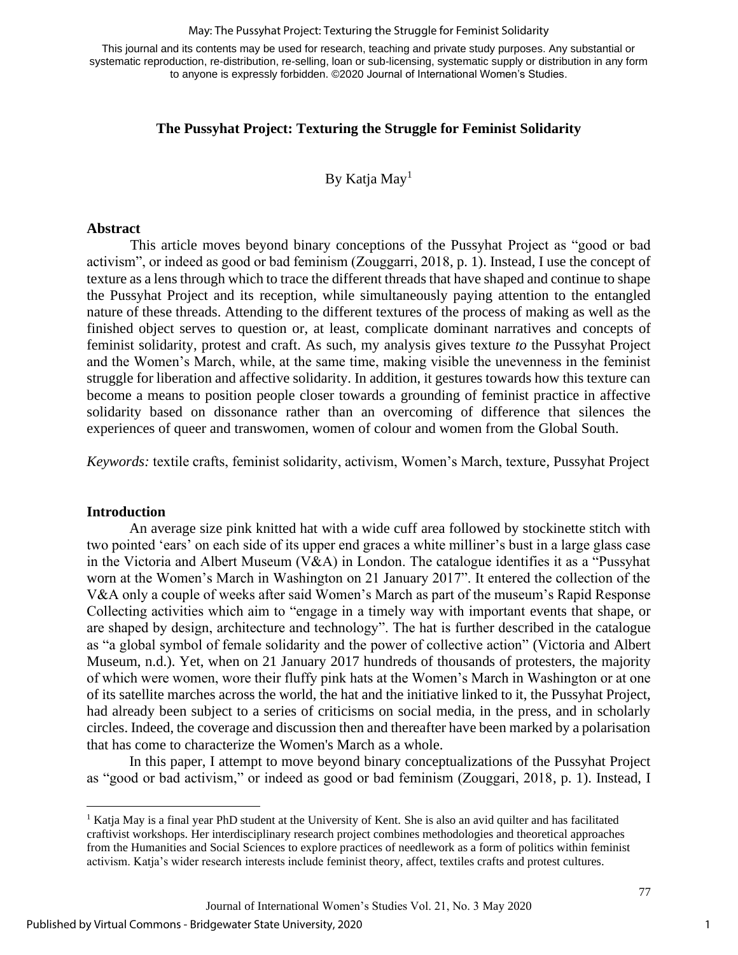#### May: The Pussyhat Project: Texturing the Struggle for Feminist Solidarity

This journal and its contents may be used for research, teaching and private study purposes. Any substantial or systematic reproduction, re-distribution, re-selling, loan or sub-licensing, systematic supply or distribution in any form to anyone is expressly forbidden. ©2020 Journal of International Women's Studies.

## **The Pussyhat Project: Texturing the Struggle for Feminist Solidarity**

By Katja May<sup>1</sup>

#### **Abstract**

This article moves beyond binary conceptions of the Pussyhat Project as "good or bad activism", or indeed as good or bad feminism (Zouggarri, 2018, p. 1). Instead, I use the concept of texture as a lens through which to trace the different threads that have shaped and continue to shape the Pussyhat Project and its reception, while simultaneously paying attention to the entangled nature of these threads. Attending to the different textures of the process of making as well as the finished object serves to question or, at least, complicate dominant narratives and concepts of feminist solidarity, protest and craft. As such, my analysis gives texture *to* the Pussyhat Project and the Women's March, while, at the same time, making visible the unevenness in the feminist struggle for liberation and affective solidarity. In addition, it gestures towards how this texture can become a means to position people closer towards a grounding of feminist practice in affective solidarity based on dissonance rather than an overcoming of difference that silences the experiences of queer and transwomen, women of colour and women from the Global South.

*Keywords:* textile crafts, feminist solidarity, activism, Women's March, texture, Pussyhat Project

#### **Introduction**

An average size pink knitted hat with a wide cuff area followed by stockinette stitch with two pointed 'ears' on each side of its upper end graces a white milliner's bust in a large glass case in the Victoria and Albert Museum (V&A) in London. The catalogue identifies it as a "Pussyhat worn at the Women's March in Washington on 21 January 2017". It entered the collection of the V&A only a couple of weeks after said Women's March as part of the museum's Rapid Response Collecting activities which aim to "engage in a timely way with important events that shape, or are shaped by design, architecture and technology". The hat is further described in the catalogue as "a global symbol of female solidarity and the power of collective action" (Victoria and Albert Museum, n.d.). Yet, when on 21 January 2017 hundreds of thousands of protesters, the majority of which were women, wore their fluffy pink hats at the Women's March in Washington or at one of its satellite marches across the world, the hat and the initiative linked to it, the Pussyhat Project, had already been subject to a series of criticisms on social media, in the press, and in scholarly circles. Indeed, the coverage and discussion then and thereafter have been marked by a polarisation that has come to characterize the Women's March as a whole.

In this paper, I attempt to move beyond binary conceptualizations of the Pussyhat Project as "good or bad activism," or indeed as good or bad feminism (Zouggari, 2018, p. 1). Instead, I

<sup>&</sup>lt;sup>1</sup> Katja May is a final year PhD student at the University of Kent. She is also an avid quilter and has facilitated craftivist workshops. Her interdisciplinary research project combines methodologies and theoretical approaches from the Humanities and Social Sciences to explore practices of needlework as a form of politics within feminist activism. Katja's wider research interests include feminist theory, affect, textiles crafts and protest cultures.

Journal of International Women's Studies Vol. 21, No. 3 May 2020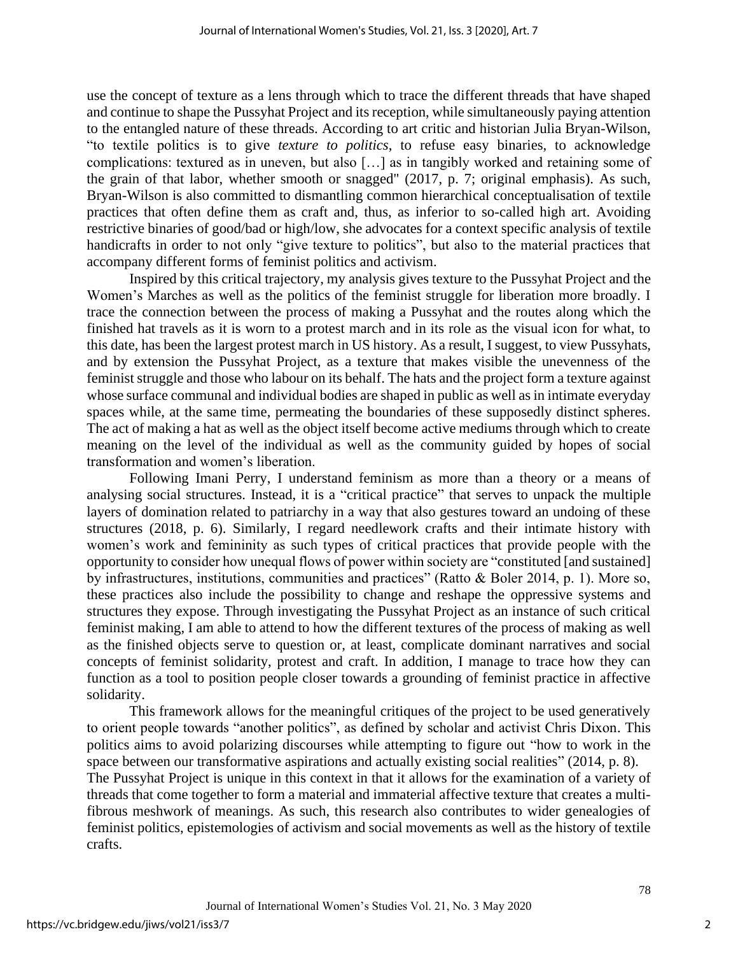use the concept of texture as a lens through which to trace the different threads that have shaped and continue to shape the Pussyhat Project and its reception, while simultaneously paying attention to the entangled nature of these threads. According to art critic and historian Julia Bryan-Wilson, "to textile politics is to give *texture to politics*, to refuse easy binaries, to acknowledge complications: textured as in uneven, but also […] as in tangibly worked and retaining some of the grain of that labor, whether smooth or snagged" (2017, p. 7; original emphasis). As such, Bryan-Wilson is also committed to dismantling common hierarchical conceptualisation of textile practices that often define them as craft and, thus, as inferior to so-called high art. Avoiding restrictive binaries of good/bad or high/low, she advocates for a context specific analysis of textile handicrafts in order to not only "give texture to politics", but also to the material practices that accompany different forms of feminist politics and activism.

Inspired by this critical trajectory, my analysis gives texture to the Pussyhat Project and the Women's Marches as well as the politics of the feminist struggle for liberation more broadly. I trace the connection between the process of making a Pussyhat and the routes along which the finished hat travels as it is worn to a protest march and in its role as the visual icon for what, to this date, has been the largest protest march in US history. As a result, I suggest, to view Pussyhats, and by extension the Pussyhat Project, as a texture that makes visible the unevenness of the feminist struggle and those who labour on its behalf. The hats and the project form a texture against whose surface communal and individual bodies are shaped in public as well as in intimate everyday spaces while, at the same time, permeating the boundaries of these supposedly distinct spheres. The act of making a hat as well as the object itself become active mediums through which to create meaning on the level of the individual as well as the community guided by hopes of social transformation and women's liberation.

Following Imani Perry, I understand feminism as more than a theory or a means of analysing social structures. Instead, it is a "critical practice" that serves to unpack the multiple layers of domination related to patriarchy in a way that also gestures toward an undoing of these structures (2018, p. 6). Similarly, I regard needlework crafts and their intimate history with women's work and femininity as such types of critical practices that provide people with the opportunity to consider how unequal flows of power within society are "constituted [and sustained] by infrastructures, institutions, communities and practices" (Ratto & Boler 2014, p. 1). More so, these practices also include the possibility to change and reshape the oppressive systems and structures they expose. Through investigating the Pussyhat Project as an instance of such critical feminist making, I am able to attend to how the different textures of the process of making as well as the finished objects serve to question or, at least, complicate dominant narratives and social concepts of feminist solidarity, protest and craft. In addition, I manage to trace how they can function as a tool to position people closer towards a grounding of feminist practice in affective solidarity.

This framework allows for the meaningful critiques of the project to be used generatively to orient people towards "another politics", as defined by scholar and activist Chris Dixon. This politics aims to avoid polarizing discourses while attempting to figure out "how to work in the space between our transformative aspirations and actually existing social realities" (2014, p. 8). The Pussyhat Project is unique in this context in that it allows for the examination of a variety of threads that come together to form a material and immaterial affective texture that creates a multifibrous meshwork of meanings. As such, this research also contributes to wider genealogies of feminist politics, epistemologies of activism and social movements as well as the history of textile crafts.

2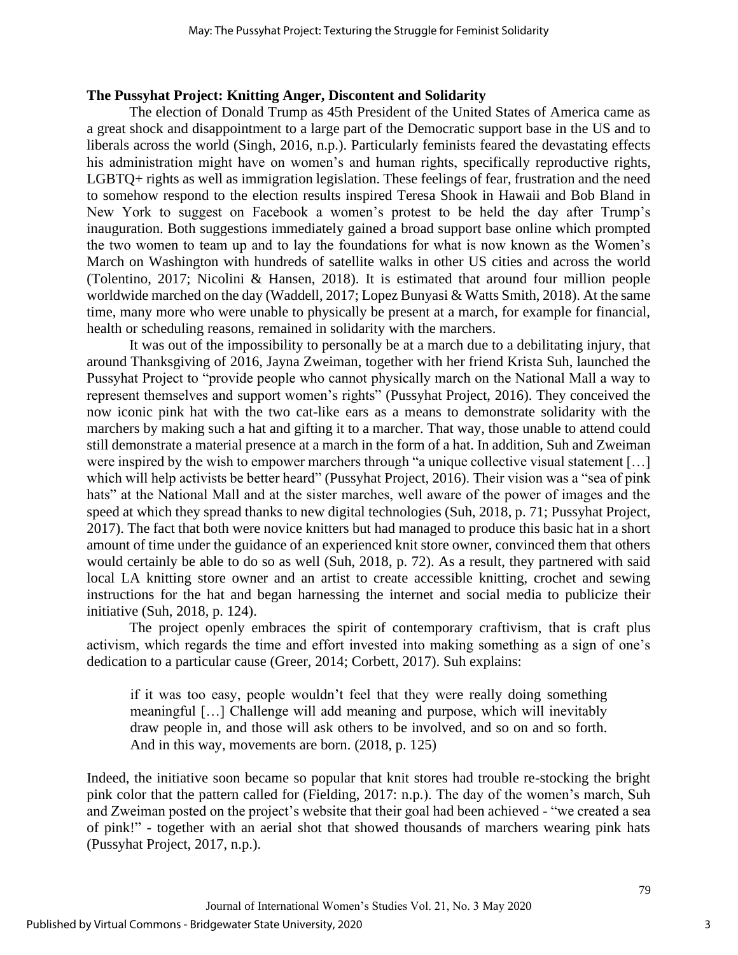## **The Pussyhat Project: Knitting Anger, Discontent and Solidarity**

The election of Donald Trump as 45th President of the United States of America came as a great shock and disappointment to a large part of the Democratic support base in the US and to liberals across the world (Singh, 2016, n.p.). Particularly feminists feared the devastating effects his administration might have on women's and human rights, specifically reproductive rights, LGBTQ+ rights as well as immigration legislation. These feelings of fear, frustration and the need to somehow respond to the election results inspired Teresa Shook in Hawaii and Bob Bland in New York to suggest on Facebook a women's protest to be held the day after Trump's inauguration. Both suggestions immediately gained a broad support base online which prompted the two women to team up and to lay the foundations for what is now known as the Women's March on Washington with hundreds of satellite walks in other US cities and across the world (Tolentino, 2017; Nicolini & Hansen, 2018). It is estimated that around four million people worldwide marched on the day (Waddell, 2017; Lopez Bunyasi & Watts Smith, 2018). At the same time, many more who were unable to physically be present at a march, for example for financial, health or scheduling reasons, remained in solidarity with the marchers.

It was out of the impossibility to personally be at a march due to a debilitating injury, that around Thanksgiving of 2016, Jayna Zweiman, together with her friend Krista Suh, launched the Pussyhat Project to "provide people who cannot physically march on the National Mall a way to represent themselves and support women's rights" (Pussyhat Project, 2016). They conceived the now iconic pink hat with the two cat-like ears as a means to demonstrate solidarity with the marchers by making such a hat and gifting it to a marcher. That way, those unable to attend could still demonstrate a material presence at a march in the form of a hat. In addition, Suh and Zweiman were inspired by the wish to empower marchers through "a unique collective visual statement […] which will help activists be better heard" (Pussyhat Project, 2016). Their vision was a "sea of pink hats" at the National Mall and at the sister marches, well aware of the power of images and the speed at which they spread thanks to new digital technologies (Suh, 2018, p. 71; Pussyhat Project, 2017). The fact that both were novice knitters but had managed to produce this basic hat in a short amount of time under the guidance of an experienced knit store owner, convinced them that others would certainly be able to do so as well (Suh, 2018, p. 72). As a result, they partnered with said local LA knitting store owner and an artist to create accessible knitting, crochet and sewing instructions for the hat and began harnessing the internet and social media to publicize their initiative (Suh, 2018, p. 124).

The project openly embraces the spirit of contemporary craftivism, that is craft plus activism, which regards the time and effort invested into making something as a sign of one's dedication to a particular cause (Greer, 2014; Corbett, 2017). Suh explains:

if it was too easy, people wouldn't feel that they were really doing something meaningful […] Challenge will add meaning and purpose, which will inevitably draw people in, and those will ask others to be involved, and so on and so forth. And in this way, movements are born. (2018, p. 125)

Indeed, the initiative soon became so popular that knit stores had trouble re-stocking the bright pink color that the pattern called for (Fielding, 2017: n.p.). The day of the women's march, Suh and Zweiman posted on the project's website that their goal had been achieved - "we created a sea of pink!" - together with an aerial shot that showed thousands of marchers wearing pink hats (Pussyhat Project, 2017, n.p.).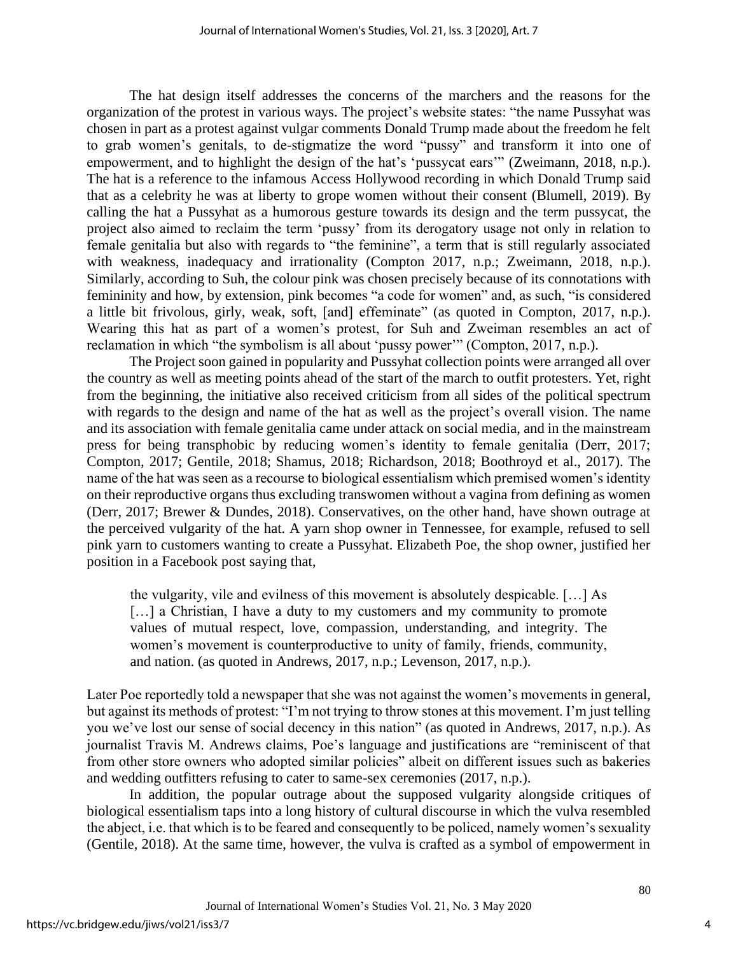The hat design itself addresses the concerns of the marchers and the reasons for the organization of the protest in various ways. The project's website states: "the name Pussyhat was chosen in part as a protest against vulgar comments Donald Trump made about the freedom he felt to grab women's genitals, to de-stigmatize the word "pussy" and transform it into one of empowerment, and to highlight the design of the hat's 'pussycat ears'" (Zweimann, 2018, n.p.). The hat is a reference to the infamous Access Hollywood recording in which Donald Trump said that as a celebrity he was at liberty to grope women without their consent (Blumell, 2019). By calling the hat a Pussyhat as a humorous gesture towards its design and the term pussycat, the project also aimed to reclaim the term 'pussy' from its derogatory usage not only in relation to female genitalia but also with regards to "the feminine", a term that is still regularly associated with weakness, inadequacy and irrationality (Compton 2017, n.p.; Zweimann, 2018, n.p.). Similarly, according to Suh, the colour pink was chosen precisely because of its connotations with femininity and how, by extension, pink becomes "a code for women" and, as such, "is considered a little bit frivolous, girly, weak, soft, [and] effeminate" (as quoted in Compton, 2017, n.p.). Wearing this hat as part of a women's protest, for Suh and Zweiman resembles an act of reclamation in which "the symbolism is all about 'pussy power'" (Compton, 2017, n.p.).

The Project soon gained in popularity and Pussyhat collection points were arranged all over the country as well as meeting points ahead of the start of the march to outfit protesters. Yet, right from the beginning, the initiative also received criticism from all sides of the political spectrum with regards to the design and name of the hat as well as the project's overall vision. The name and its association with female genitalia came under attack on social media, and in the mainstream press for being transphobic by reducing women's identity to female genitalia (Derr, 2017; Compton, 2017; Gentile, 2018; Shamus, 2018; Richardson, 2018; Boothroyd et al., 2017). The name of the hat was seen as a recourse to biological essentialism which premised women's identity on their reproductive organs thus excluding transwomen without a vagina from defining as women (Derr, 2017; Brewer & Dundes, 2018). Conservatives, on the other hand, have shown outrage at the perceived vulgarity of the hat. A yarn shop owner in Tennessee, for example, refused to sell pink yarn to customers wanting to create a Pussyhat. Elizabeth Poe, the shop owner, justified her position in a Facebook post saying that,

the vulgarity, vile and evilness of this movement is absolutely despicable. […] As [...] a Christian, I have a duty to my customers and my community to promote values of mutual respect, love, compassion, understanding, and integrity. The women's movement is counterproductive to unity of family, friends, community, and nation. (as quoted in Andrews, 2017, n.p.; Levenson, 2017, n.p.).

Later Poe reportedly told a newspaper that she was not against the women's movements in general, but against its methods of protest: "I'm not trying to throw stones at this movement. I'm just telling you we've lost our sense of social decency in this nation" (as quoted in Andrews, 2017, n.p.). As journalist Travis M. Andrews claims, Poe's language and justifications are "reminiscent of that from other store owners who adopted similar policies" albeit on different issues such as bakeries and wedding outfitters refusing to cater to same-sex ceremonies (2017, n.p.).

In addition, the popular outrage about the supposed vulgarity alongside critiques of biological essentialism taps into a long history of cultural discourse in which the vulva resembled the abject, i.e. that which is to be feared and consequently to be policed, namely women's sexuality (Gentile, 2018). At the same time, however, the vulva is crafted as a symbol of empowerment in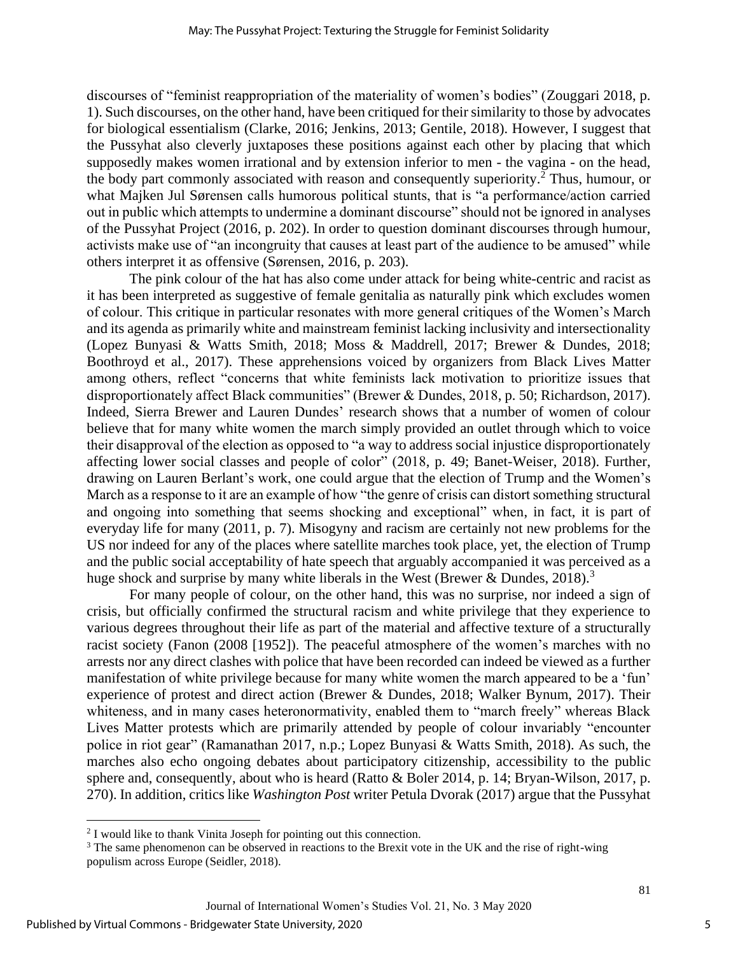discourses of "feminist reappropriation of the materiality of women's bodies" (Zouggari 2018, p. 1). Such discourses, on the other hand, have been critiqued for their similarity to those by advocates for biological essentialism (Clarke, 2016; Jenkins, 2013; Gentile, 2018). However, I suggest that the Pussyhat also cleverly juxtaposes these positions against each other by placing that which supposedly makes women irrational and by extension inferior to men - the vagina - on the head, the body part commonly associated with reason and consequently superiority.<sup>2</sup> Thus, humour, or what Majken Jul Sørensen calls humorous political stunts, that is "a performance/action carried out in public which attempts to undermine a dominant discourse" should not be ignored in analyses of the Pussyhat Project (2016, p. 202). In order to question dominant discourses through humour, activists make use of "an incongruity that causes at least part of the audience to be amused" while others interpret it as offensive (Sørensen, 2016, p. 203).

The pink colour of the hat has also come under attack for being white-centric and racist as it has been interpreted as suggestive of female genitalia as naturally pink which excludes women of colour. This critique in particular resonates with more general critiques of the Women's March and its agenda as primarily white and mainstream feminist lacking inclusivity and intersectionality (Lopez Bunyasi & Watts Smith, 2018; Moss & Maddrell, 2017; Brewer & Dundes, 2018; Boothroyd et al., 2017). These apprehensions voiced by organizers from Black Lives Matter among others, reflect "concerns that white feminists lack motivation to prioritize issues that disproportionately affect Black communities" (Brewer & Dundes, 2018, p. 50; Richardson, 2017). Indeed, Sierra Brewer and Lauren Dundes' research shows that a number of women of colour believe that for many white women the march simply provided an outlet through which to voice their disapproval of the election as opposed to "a way to address social injustice disproportionately affecting lower social classes and people of color" (2018, p. 49; Banet-Weiser, 2018). Further, drawing on Lauren Berlant's work, one could argue that the election of Trump and the Women's March as a response to it are an example of how "the genre of crisis can distort something structural and ongoing into something that seems shocking and exceptional" when, in fact, it is part of everyday life for many (2011, p. 7). Misogyny and racism are certainly not new problems for the US nor indeed for any of the places where satellite marches took place, yet, the election of Trump and the public social acceptability of hate speech that arguably accompanied it was perceived as a huge shock and surprise by many white liberals in the West (Brewer & Dundes,  $2018$ ).<sup>3</sup>

For many people of colour, on the other hand, this was no surprise, nor indeed a sign of crisis, but officially confirmed the structural racism and white privilege that they experience to various degrees throughout their life as part of the material and affective texture of a structurally racist society (Fanon (2008 [1952]). The peaceful atmosphere of the women's marches with no arrests nor any direct clashes with police that have been recorded can indeed be viewed as a further manifestation of white privilege because for many white women the march appeared to be a 'fun' experience of protest and direct action (Brewer & Dundes, 2018; Walker Bynum, 2017). Their whiteness, and in many cases heteronormativity, enabled them to "march freely" whereas Black Lives Matter protests which are primarily attended by people of colour invariably "encounter police in riot gear" (Ramanathan 2017, n.p.; Lopez Bunyasi & Watts Smith, 2018). As such, the marches also echo ongoing debates about participatory citizenship, accessibility to the public sphere and, consequently, about who is heard (Ratto & Boler 2014, p. 14; Bryan-Wilson, 2017, p. 270). In addition, critics like *Washington Post* writer Petula Dvorak (2017) argue that the Pussyhat

<sup>&</sup>lt;sup>2</sup> I would like to thank Vinita Joseph for pointing out this connection.

<sup>&</sup>lt;sup>3</sup> The same phenomenon can be observed in reactions to the Brexit vote in the UK and the rise of right-wing populism across Europe (Seidler, 2018).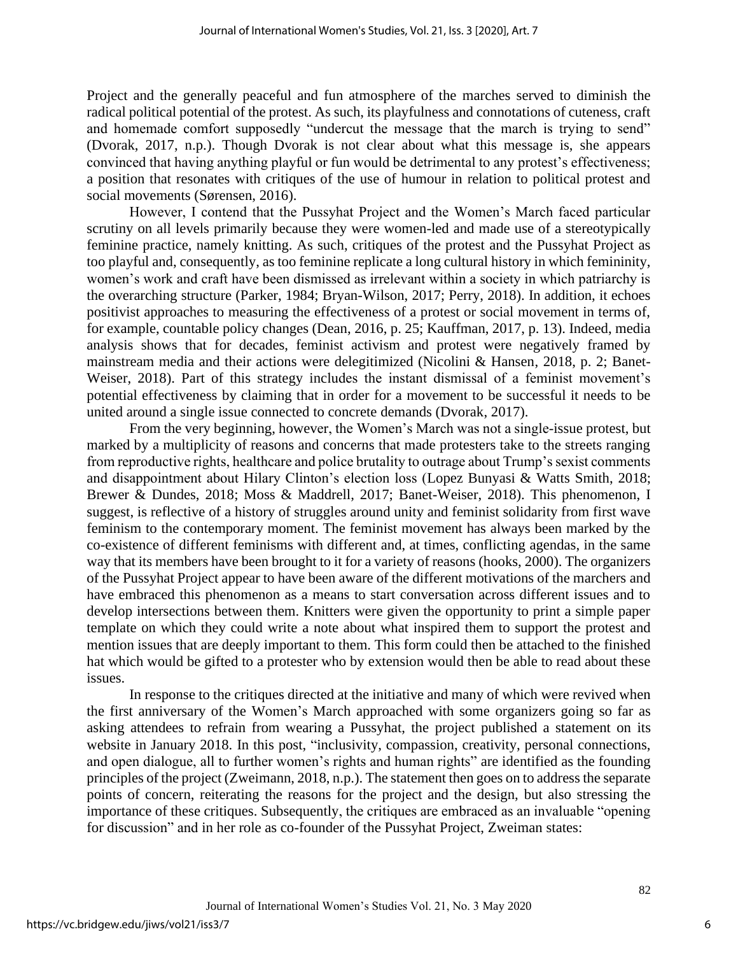Project and the generally peaceful and fun atmosphere of the marches served to diminish the radical political potential of the protest. As such, its playfulness and connotations of cuteness, craft and homemade comfort supposedly "undercut the message that the march is trying to send" (Dvorak, 2017, n.p.). Though Dvorak is not clear about what this message is, she appears convinced that having anything playful or fun would be detrimental to any protest's effectiveness; a position that resonates with critiques of the use of humour in relation to political protest and social movements (Sørensen, 2016).

However, I contend that the Pussyhat Project and the Women's March faced particular scrutiny on all levels primarily because they were women-led and made use of a stereotypically feminine practice, namely knitting. As such, critiques of the protest and the Pussyhat Project as too playful and, consequently, as too feminine replicate a long cultural history in which femininity, women's work and craft have been dismissed as irrelevant within a society in which patriarchy is the overarching structure (Parker, 1984; Bryan-Wilson, 2017; Perry, 2018). In addition, it echoes positivist approaches to measuring the effectiveness of a protest or social movement in terms of, for example, countable policy changes (Dean, 2016, p. 25; Kauffman, 2017, p. 13). Indeed, media analysis shows that for decades, feminist activism and protest were negatively framed by mainstream media and their actions were delegitimized (Nicolini & Hansen, 2018, p. 2; Banet-Weiser, 2018). Part of this strategy includes the instant dismissal of a feminist movement's potential effectiveness by claiming that in order for a movement to be successful it needs to be united around a single issue connected to concrete demands (Dvorak, 2017).

From the very beginning, however, the Women's March was not a single-issue protest, but marked by a multiplicity of reasons and concerns that made protesters take to the streets ranging from reproductive rights, healthcare and police brutality to outrage about Trump's sexist comments and disappointment about Hilary Clinton's election loss (Lopez Bunyasi & Watts Smith, 2018; Brewer & Dundes, 2018; Moss & Maddrell, 2017; Banet-Weiser, 2018). This phenomenon, I suggest, is reflective of a history of struggles around unity and feminist solidarity from first wave feminism to the contemporary moment. The feminist movement has always been marked by the co-existence of different feminisms with different and, at times, conflicting agendas, in the same way that its members have been brought to it for a variety of reasons (hooks, 2000). The organizers of the Pussyhat Project appear to have been aware of the different motivations of the marchers and have embraced this phenomenon as a means to start conversation across different issues and to develop intersections between them. Knitters were given the opportunity to print a simple paper template on which they could write a note about what inspired them to support the protest and mention issues that are deeply important to them. This form could then be attached to the finished hat which would be gifted to a protester who by extension would then be able to read about these issues.

In response to the critiques directed at the initiative and many of which were revived when the first anniversary of the Women's March approached with some organizers going so far as asking attendees to refrain from wearing a Pussyhat, the project published a statement on its website in January 2018. In this post, "inclusivity, compassion, creativity, personal connections, and open dialogue, all to further women's rights and human rights" are identified as the founding principles of the project (Zweimann, 2018, n.p.). The statement then goes on to address the separate points of concern, reiterating the reasons for the project and the design, but also stressing the importance of these critiques. Subsequently, the critiques are embraced as an invaluable "opening for discussion" and in her role as co-founder of the Pussyhat Project, Zweiman states: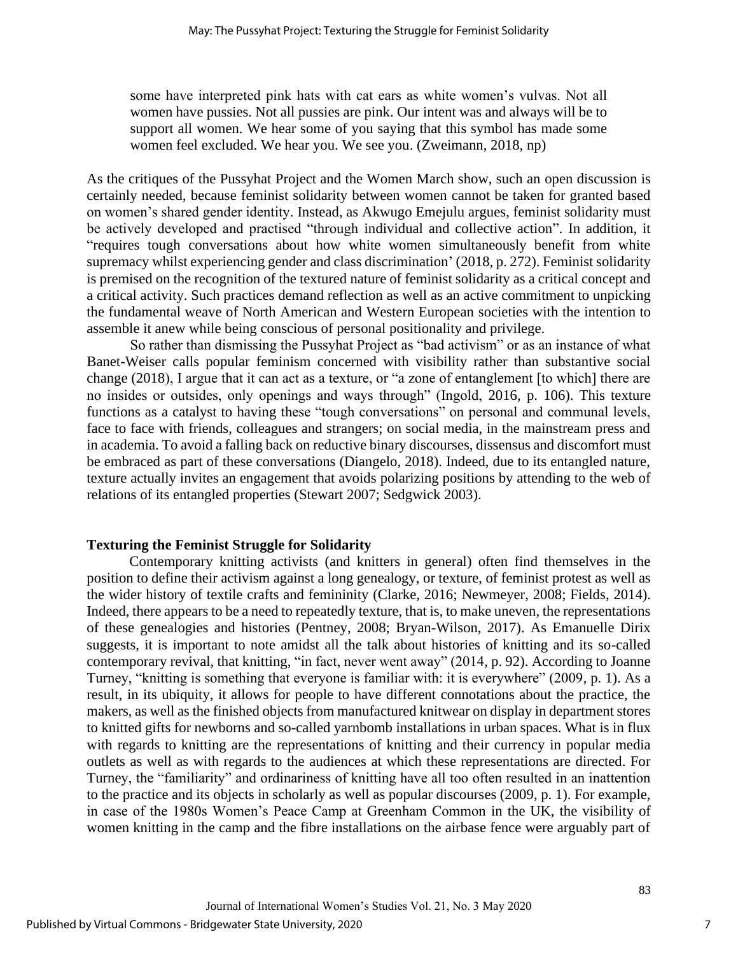some have interpreted pink hats with cat ears as white women's vulvas. Not all women have pussies. Not all pussies are pink. Our intent was and always will be to support all women. We hear some of you saying that this symbol has made some women feel excluded. We hear you. We see you. (Zweimann, 2018, np)

As the critiques of the Pussyhat Project and the Women March show, such an open discussion is certainly needed, because feminist solidarity between women cannot be taken for granted based on women's shared gender identity. Instead, as Akwugo Emejulu argues, feminist solidarity must be actively developed and practised "through individual and collective action". In addition, it "requires tough conversations about how white women simultaneously benefit from white supremacy whilst experiencing gender and class discrimination' (2018, p. 272). Feminist solidarity is premised on the recognition of the textured nature of feminist solidarity as a critical concept and a critical activity. Such practices demand reflection as well as an active commitment to unpicking the fundamental weave of North American and Western European societies with the intention to assemble it anew while being conscious of personal positionality and privilege.

So rather than dismissing the Pussyhat Project as "bad activism" or as an instance of what Banet-Weiser calls popular feminism concerned with visibility rather than substantive social change (2018), I argue that it can act as a texture, or "a zone of entanglement [to which] there are no insides or outsides, only openings and ways through" (Ingold, 2016, p. 106). This texture functions as a catalyst to having these "tough conversations" on personal and communal levels, face to face with friends, colleagues and strangers; on social media, in the mainstream press and in academia. To avoid a falling back on reductive binary discourses, dissensus and discomfort must be embraced as part of these conversations (Diangelo, 2018). Indeed, due to its entangled nature, texture actually invites an engagement that avoids polarizing positions by attending to the web of relations of its entangled properties (Stewart 2007; Sedgwick 2003).

## **Texturing the Feminist Struggle for Solidarity**

Contemporary knitting activists (and knitters in general) often find themselves in the position to define their activism against a long genealogy, or texture, of feminist protest as well as the wider history of textile crafts and femininity (Clarke, 2016; Newmeyer, 2008; Fields, 2014). Indeed, there appears to be a need to repeatedly texture, that is, to make uneven, the representations of these genealogies and histories (Pentney, 2008; Bryan-Wilson, 2017). As Emanuelle Dirix suggests, it is important to note amidst all the talk about histories of knitting and its so-called contemporary revival, that knitting, "in fact, never went away" (2014, p. 92). According to Joanne Turney, "knitting is something that everyone is familiar with: it is everywhere" (2009, p. 1). As a result, in its ubiquity, it allows for people to have different connotations about the practice, the makers, as well as the finished objects from manufactured knitwear on display in department stores to knitted gifts for newborns and so-called yarnbomb installations in urban spaces. What is in flux with regards to knitting are the representations of knitting and their currency in popular media outlets as well as with regards to the audiences at which these representations are directed. For Turney, the "familiarity" and ordinariness of knitting have all too often resulted in an inattention to the practice and its objects in scholarly as well as popular discourses (2009, p. 1). For example, in case of the 1980s Women's Peace Camp at Greenham Common in the UK, the visibility of women knitting in the camp and the fibre installations on the airbase fence were arguably part of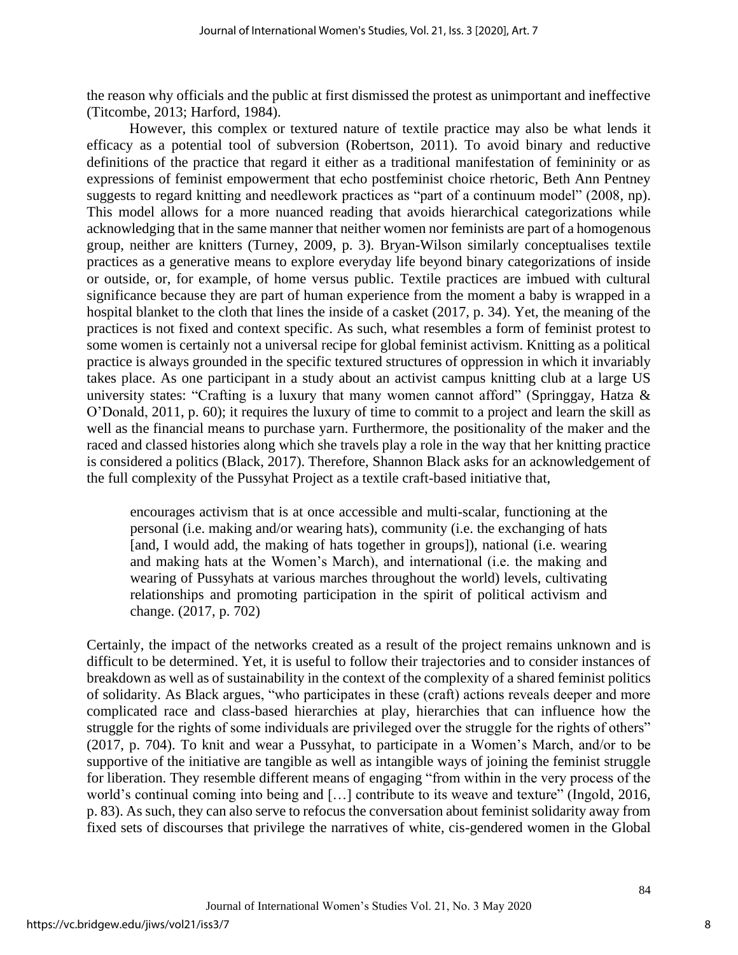the reason why officials and the public at first dismissed the protest as unimportant and ineffective (Titcombe, 2013; Harford, 1984).

However, this complex or textured nature of textile practice may also be what lends it efficacy as a potential tool of subversion (Robertson, 2011). To avoid binary and reductive definitions of the practice that regard it either as a traditional manifestation of femininity or as expressions of feminist empowerment that echo postfeminist choice rhetoric, Beth Ann Pentney suggests to regard knitting and needlework practices as "part of a continuum model" (2008, np). This model allows for a more nuanced reading that avoids hierarchical categorizations while acknowledging that in the same manner that neither women nor feminists are part of a homogenous group, neither are knitters (Turney, 2009, p. 3). Bryan-Wilson similarly conceptualises textile practices as a generative means to explore everyday life beyond binary categorizations of inside or outside, or, for example, of home versus public. Textile practices are imbued with cultural significance because they are part of human experience from the moment a baby is wrapped in a hospital blanket to the cloth that lines the inside of a casket (2017, p. 34). Yet, the meaning of the practices is not fixed and context specific. As such, what resembles a form of feminist protest to some women is certainly not a universal recipe for global feminist activism. Knitting as a political practice is always grounded in the specific textured structures of oppression in which it invariably takes place. As one participant in a study about an activist campus knitting club at a large US university states: "Crafting is a luxury that many women cannot afford" (Springgay, Hatza  $\&$ O'Donald, 2011, p. 60); it requires the luxury of time to commit to a project and learn the skill as well as the financial means to purchase yarn. Furthermore, the positionality of the maker and the raced and classed histories along which she travels play a role in the way that her knitting practice is considered a politics (Black, 2017). Therefore, Shannon Black asks for an acknowledgement of the full complexity of the Pussyhat Project as a textile craft-based initiative that,

encourages activism that is at once accessible and multi-scalar, functioning at the personal (i.e. making and/or wearing hats), community (i.e. the exchanging of hats [and, I would add, the making of hats together in groups]), national (i.e. wearing and making hats at the Women's March), and international (i.e. the making and wearing of Pussyhats at various marches throughout the world) levels, cultivating relationships and promoting participation in the spirit of political activism and change. (2017, p. 702)

Certainly, the impact of the networks created as a result of the project remains unknown and is difficult to be determined. Yet, it is useful to follow their trajectories and to consider instances of breakdown as well as of sustainability in the context of the complexity of a shared feminist politics of solidarity. As Black argues, "who participates in these (craft) actions reveals deeper and more complicated race and class-based hierarchies at play, hierarchies that can influence how the struggle for the rights of some individuals are privileged over the struggle for the rights of others" (2017, p. 704). To knit and wear a Pussyhat, to participate in a Women's March, and/or to be supportive of the initiative are tangible as well as intangible ways of joining the feminist struggle for liberation. They resemble different means of engaging "from within in the very process of the world's continual coming into being and […] contribute to its weave and texture" (Ingold, 2016, p. 83). As such, they can also serve to refocus the conversation about feminist solidarity away from fixed sets of discourses that privilege the narratives of white, cis-gendered women in the Global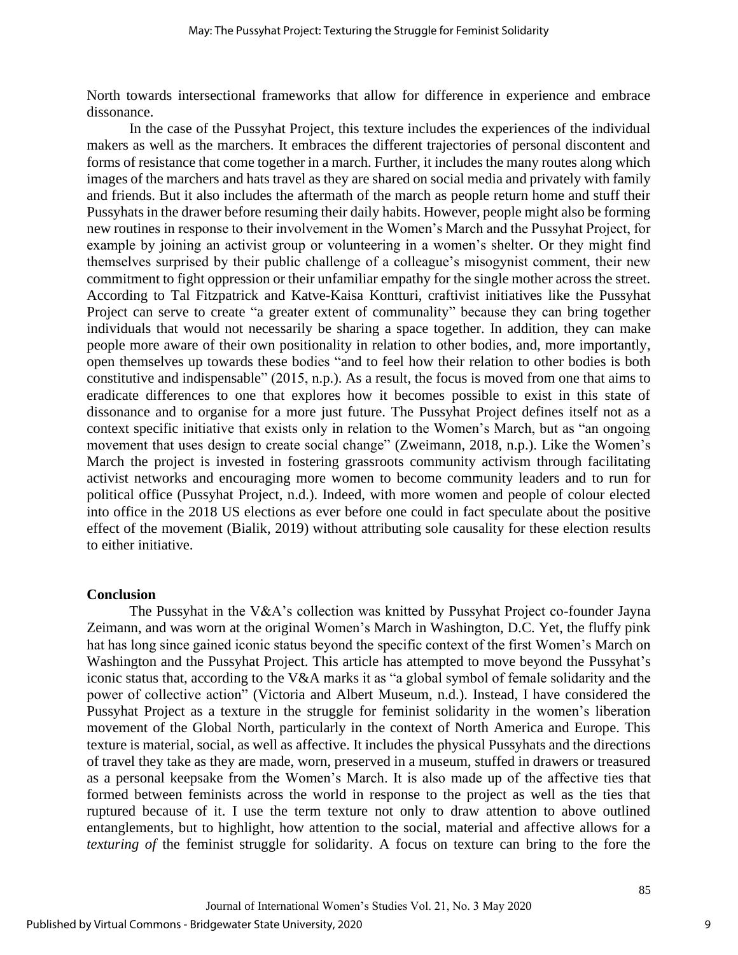North towards intersectional frameworks that allow for difference in experience and embrace dissonance.

In the case of the Pussyhat Project, this texture includes the experiences of the individual makers as well as the marchers. It embraces the different trajectories of personal discontent and forms of resistance that come together in a march. Further, it includes the many routes along which images of the marchers and hats travel as they are shared on social media and privately with family and friends. But it also includes the aftermath of the march as people return home and stuff their Pussyhats in the drawer before resuming their daily habits. However, people might also be forming new routines in response to their involvement in the Women's March and the Pussyhat Project, for example by joining an activist group or volunteering in a women's shelter. Or they might find themselves surprised by their public challenge of a colleague's misogynist comment, their new commitment to fight oppression or their unfamiliar empathy for the single mother across the street. According to Tal Fitzpatrick and Katve-Kaisa Kontturi, craftivist initiatives like the Pussyhat Project can serve to create "a greater extent of communality" because they can bring together individuals that would not necessarily be sharing a space together. In addition, they can make people more aware of their own positionality in relation to other bodies, and, more importantly, open themselves up towards these bodies "and to feel how their relation to other bodies is both constitutive and indispensable" (2015, n.p.). As a result, the focus is moved from one that aims to eradicate differences to one that explores how it becomes possible to exist in this state of dissonance and to organise for a more just future. The Pussyhat Project defines itself not as a context specific initiative that exists only in relation to the Women's March, but as "an ongoing movement that uses design to create social change" (Zweimann, 2018, n.p.). Like the Women's March the project is invested in fostering grassroots community activism through facilitating activist networks and encouraging more women to become community leaders and to run for political office (Pussyhat Project, n.d.). Indeed, with more women and people of colour elected into office in the 2018 US elections as ever before one could in fact speculate about the positive effect of the movement (Bialik, 2019) without attributing sole causality for these election results to either initiative.

### **Conclusion**

The Pussyhat in the V&A's collection was knitted by Pussyhat Project co-founder Jayna Zeimann, and was worn at the original Women's March in Washington, D.C. Yet, the fluffy pink hat has long since gained iconic status beyond the specific context of the first Women's March on Washington and the Pussyhat Project. This article has attempted to move beyond the Pussyhat's iconic status that, according to the V&A marks it as "a global symbol of female solidarity and the power of collective action" (Victoria and Albert Museum, n.d.). Instead, I have considered the Pussyhat Project as a texture in the struggle for feminist solidarity in the women's liberation movement of the Global North, particularly in the context of North America and Europe. This texture is material, social, as well as affective. It includes the physical Pussyhats and the directions of travel they take as they are made, worn, preserved in a museum, stuffed in drawers or treasured as a personal keepsake from the Women's March. It is also made up of the affective ties that formed between feminists across the world in response to the project as well as the ties that ruptured because of it. I use the term texture not only to draw attention to above outlined entanglements, but to highlight, how attention to the social, material and affective allows for a *texturing of* the feminist struggle for solidarity. A focus on texture can bring to the fore the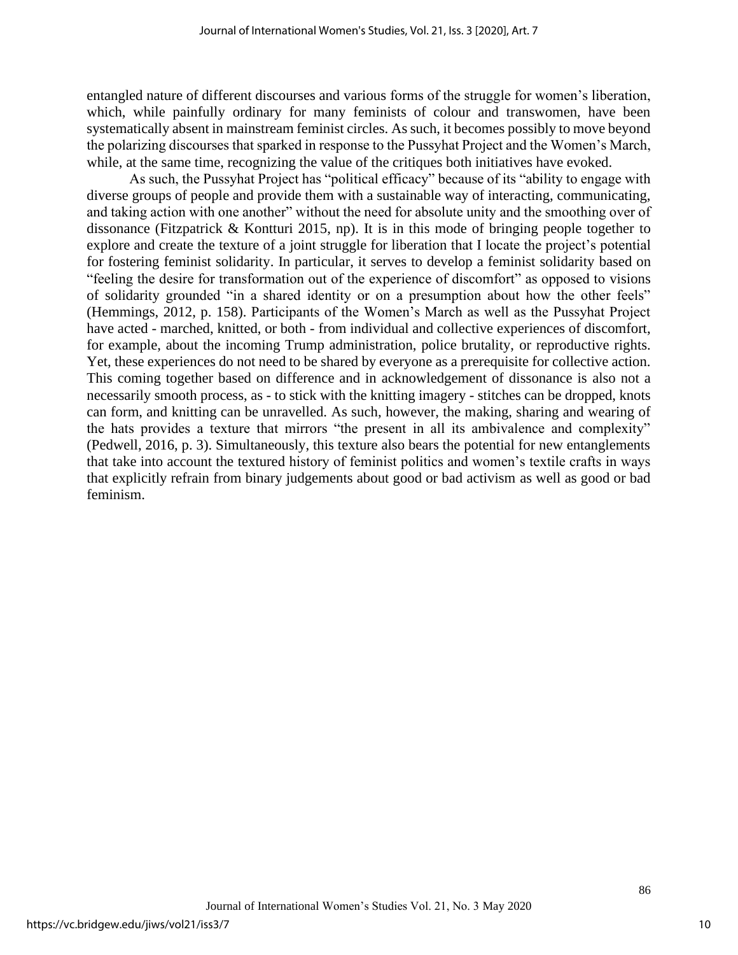entangled nature of different discourses and various forms of the struggle for women's liberation, which, while painfully ordinary for many feminists of colour and transwomen, have been systematically absent in mainstream feminist circles. As such, it becomes possibly to move beyond the polarizing discourses that sparked in response to the Pussyhat Project and the Women's March, while, at the same time, recognizing the value of the critiques both initiatives have evoked.

As such, the Pussyhat Project has "political efficacy" because of its "ability to engage with diverse groups of people and provide them with a sustainable way of interacting, communicating, and taking action with one another" without the need for absolute unity and the smoothing over of dissonance (Fitzpatrick & Kontturi 2015, np). It is in this mode of bringing people together to explore and create the texture of a joint struggle for liberation that I locate the project's potential for fostering feminist solidarity. In particular, it serves to develop a feminist solidarity based on "feeling the desire for transformation out of the experience of discomfort" as opposed to visions of solidarity grounded "in a shared identity or on a presumption about how the other feels" (Hemmings, 2012, p. 158). Participants of the Women's March as well as the Pussyhat Project have acted - marched, knitted, or both - from individual and collective experiences of discomfort, for example, about the incoming Trump administration, police brutality, or reproductive rights. Yet, these experiences do not need to be shared by everyone as a prerequisite for collective action. This coming together based on difference and in acknowledgement of dissonance is also not a necessarily smooth process, as - to stick with the knitting imagery - stitches can be dropped, knots can form, and knitting can be unravelled. As such, however, the making, sharing and wearing of the hats provides a texture that mirrors "the present in all its ambivalence and complexity" (Pedwell, 2016, p. 3). Simultaneously, this texture also bears the potential for new entanglements that take into account the textured history of feminist politics and women's textile crafts in ways that explicitly refrain from binary judgements about good or bad activism as well as good or bad feminism.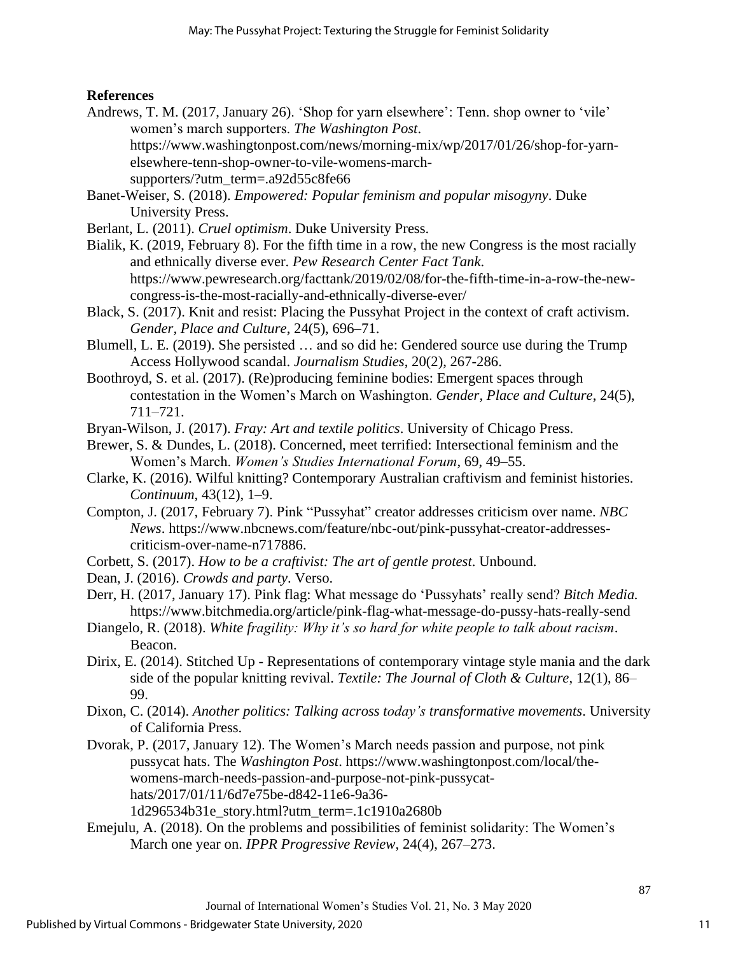## **References**

- Andrews, T. M. (2017, January 26). 'Shop for yarn elsewhere': Tenn. shop owner to 'vile' women's march supporters. *The Washington Post*. https://www.washingtonpost.com/news/morning-mix/wp/2017/01/26/shop-for-yarnelsewhere-tenn-shop-owner-to-vile-womens-marchsupporters/?utm\_term=.a92d55c8fe66
- Banet-Weiser, S. (2018). *Empowered: Popular feminism and popular misogyny*. Duke University Press.
- Berlant, L. (2011). *Cruel optimism*. Duke University Press.
- Bialik, K. (2019, February 8). For the fifth time in a row, the new Congress is the most racially and ethnically diverse ever. *Pew Research Center Fact Tank*. https://www.pewresearch.org/facttank/2019/02/08/for-the-fifth-time-in-a-row-the-newcongress-is-the-most-racially-and-ethnically-diverse-ever/
- Black, S. (2017). Knit and resist: Placing the Pussyhat Project in the context of craft activism. *Gender, Place and Culture*, 24(5), 696–71.
- Blumell, L. E. (2019). She persisted … and so did he: Gendered source use during the Trump Access Hollywood scandal. *Journalism Studies*, 20(2), 267-286.
- Boothroyd, S. et al. (2017). (Re)producing feminine bodies: Emergent spaces through contestation in the Women's March on Washington. *Gender, Place and Culture*, 24(5), 711–721.
- Bryan-Wilson, J. (2017). *Fray: Art and textile politics*. University of Chicago Press.
- Brewer, S. & Dundes, L. (2018). Concerned, meet terrified: Intersectional feminism and the Women's March. *Women's Studies International Forum*, 69, 49–55.
- Clarke, K. (2016). Wilful knitting? Contemporary Australian craftivism and feminist histories. *Continuum*, 43(12), 1–9.
- Compton, J. (2017, February 7). Pink "Pussyhat" creator addresses criticism over name. *NBC News*. https://www.nbcnews.com/feature/nbc-out/pink-pussyhat-creator-addressescriticism-over-name-n717886.
- Corbett, S. (2017). *How to be a craftivist: The art of gentle protest*. Unbound.
- Dean, J. (2016). *Crowds and party*. Verso.
- Derr, H. (2017, January 17). Pink flag: What message do 'Pussyhats' really send? *Bitch Media.* https://www.bitchmedia.org/article/pink-flag-what-message-do-pussy-hats-really-send
- Diangelo, R. (2018). *White fragility: Why it's so hard for white people to talk about racism*. Beacon.
- Dirix, E. (2014). Stitched Up Representations of contemporary vintage style mania and the dark side of the popular knitting revival. *Textile: The Journal of Cloth & Culture*, 12(1), 86– 99.
- Dixon, C. (2014). *Another politics: Talking across today's transformative movements*. University of California Press.
- Dvorak, P. (2017, January 12). The Women's March needs passion and purpose, not pink pussycat hats. The *Washington Post*. https://www.washingtonpost.com/local/thewomens-march-needs-passion-and-purpose-not-pink-pussycathats/2017/01/11/6d7e75be-d842-11e6-9a36- 1d296534b31e\_story.html?utm\_term=.1c1910a2680b
- Emejulu, A. (2018). On the problems and possibilities of feminist solidarity: The Women's March one year on. *IPPR Progressive Review*, 24(4), 267–273.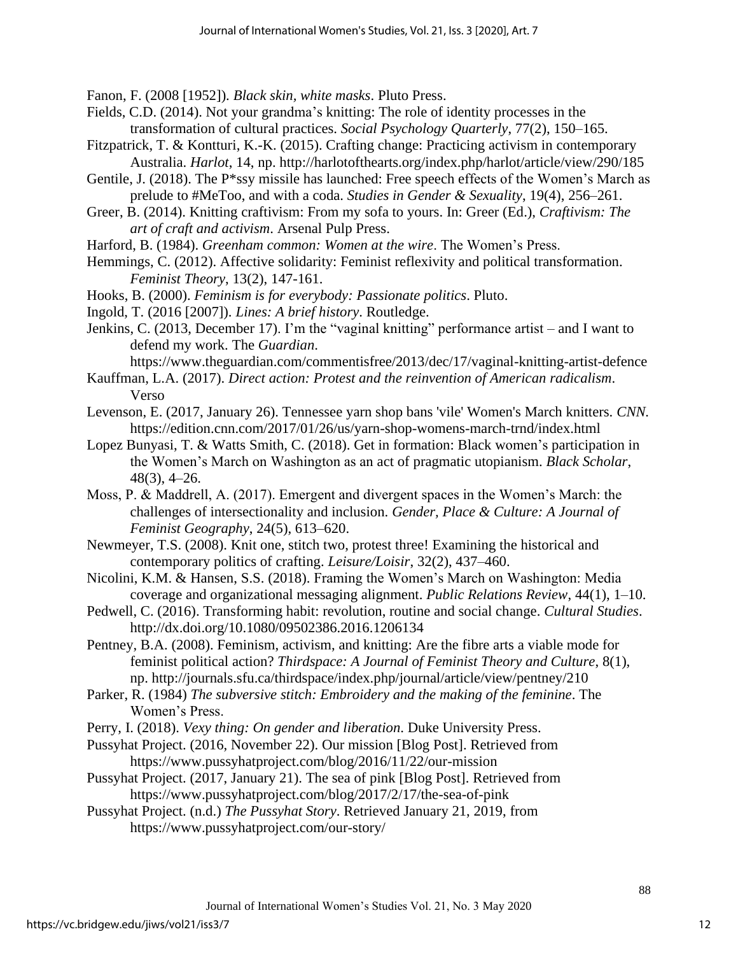Fanon, F. (2008 [1952]). *Black skin, white masks*. Pluto Press.

- Fields, C.D. (2014). Not your grandma's knitting: The role of identity processes in the transformation of cultural practices. *Social Psychology Quarterly*, 77(2), 150–165.
- Fitzpatrick, T. & Kontturi, K.-K. (2015). Crafting change: Practicing activism in contemporary Australia. *Harlot*, 14, np. http://harlotofthearts.org/index.php/harlot/article/view/290/185
- Gentile, J. (2018). The P\*ssy missile has launched: Free speech effects of the Women's March as prelude to #MeToo, and with a coda. *Studies in Gender & Sexuality*, 19(4), 256–261.
- Greer, B. (2014). Knitting craftivism: From my sofa to yours. In: Greer (Ed.), *Craftivism: The art of craft and activism*. Arsenal Pulp Press.
- Harford, B. (1984). *Greenham common: Women at the wire*. The Women's Press.
- Hemmings, C. (2012). Affective solidarity: Feminist reflexivity and political transformation. *Feminist Theory*, 13(2), 147-161.
- Hooks, B. (2000). *Feminism is for everybody: Passionate politics*. Pluto.
- Ingold, T. (2016 [2007]). *Lines: A brief history*. Routledge.
- Jenkins, C. (2013, December 17). I'm the "vaginal knitting" performance artist and I want to defend my work. The *Guardian*.

https://www.theguardian.com/commentisfree/2013/dec/17/vaginal-knitting-artist-defence Kauffman, L.A. (2017). *Direct action: Protest and the reinvention of American radicalism*. Verso

- Levenson, E. (2017, January 26). Tennessee yarn shop bans 'vile' Women's March knitters. *CNN.* https://edition.cnn.com/2017/01/26/us/yarn-shop-womens-march-trnd/index.html
- Lopez Bunyasi, T. & Watts Smith, C. (2018). Get in formation: Black women's participation in the Women's March on Washington as an act of pragmatic utopianism. *Black Scholar*, 48(3), 4–26.
- Moss, P. & Maddrell, A. (2017). Emergent and divergent spaces in the Women's March: the challenges of intersectionality and inclusion. *Gender, Place & Culture: A Journal of Feminist Geography*, 24(5), 613–620.
- Newmeyer, T.S. (2008). Knit one, stitch two, protest three! Examining the historical and contemporary politics of crafting. *Leisure/Loisir*, 32(2), 437–460.
- Nicolini, K.M. & Hansen, S.S. (2018). Framing the Women's March on Washington: Media coverage and organizational messaging alignment. *Public Relations Review*, 44(1), 1–10.
- Pedwell, C. (2016). Transforming habit: revolution, routine and social change. *Cultural Studies*. http://dx.doi.org/10.1080/09502386.2016.1206134

Pentney, B.A. (2008). Feminism, activism, and knitting: Are the fibre arts a viable mode for feminist political action? *Thirdspace: A Journal of Feminist Theory and Culture*, 8(1), np. http://journals.sfu.ca/thirdspace/index.php/journal/article/view/pentney/210

- Parker, R. (1984) *The subversive stitch: Embroidery and the making of the feminine*. The Women's Press.
- Perry, I. (2018). *Vexy thing: On gender and liberation*. Duke University Press.
- Pussyhat Project. (2016, November 22). Our mission [Blog Post]. Retrieved from https://www.pussyhatproject.com/blog/2016/11/22/our-mission
- Pussyhat Project. (2017, January 21). The sea of pink [Blog Post]. Retrieved from https://www.pussyhatproject.com/blog/2017/2/17/the-sea-of-pink
- Pussyhat Project. (n.d.) *The Pussyhat Story*. Retrieved January 21, 2019, from https://www.pussyhatproject.com/our-story/

12